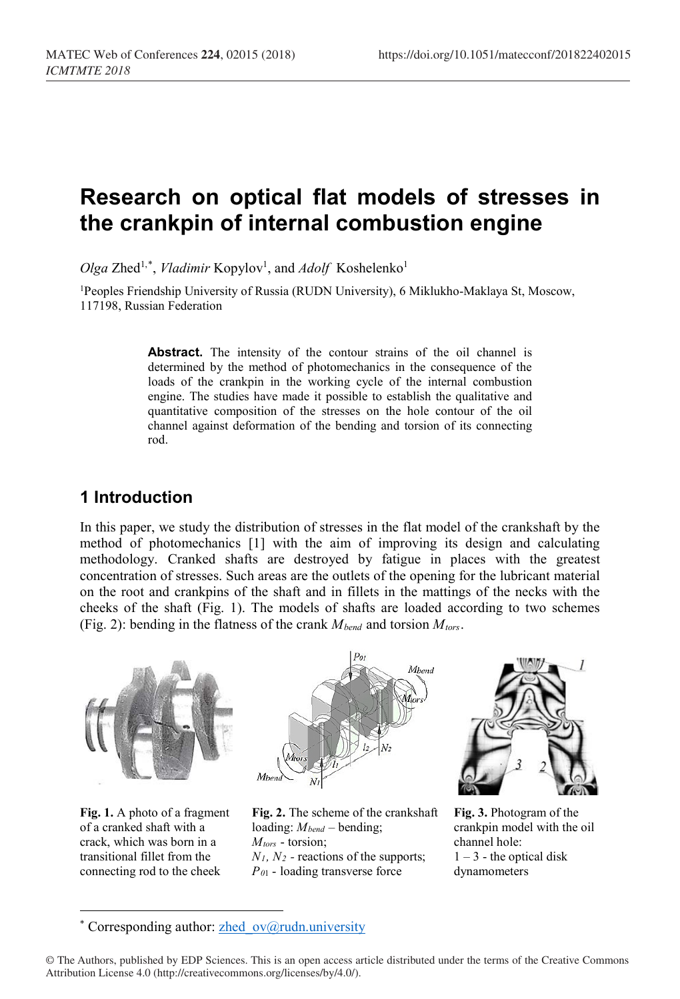# **Research on optical flat models of stresses in the crankpin of internal combustion engine**

Olga Zhed<sup>1,[\\*](#page-0-0)</sup>, *Vladimir* Kopylov<sup>1</sup>, and *Adolf* Koshelenko<sup>1</sup>

1Peoples Friendship University of Russia (RUDN University), 6 Miklukho-Maklaya St, Moscow, 117198, Russian Federation

> Abstract. The intensity of the contour strains of the oil channel is determined by the method of photomechanics in the consequence of the loads of the crankpin in the working cycle of the internal combustion engine. The studies have made it possible to establish the qualitative and quantitative composition of the stresses on the hole contour of the oil channel against deformation of the bending and torsion of its connecting rod.

### **1 Introduction**

In this paper, we study the distribution of stresses in the flat model of the crankshaft by the method of photomechanics [1] with the aim of improving its design and calculating methodology. Cranked shafts are destroyed by fatigue in places with the greatest concentration of stresses. Such areas are the outlets of the opening for the lubricant material on the root and crankpins of the shaft and in fillets in the mattings of the necks with the cheeks of the shaft (Fig. 1). The models of shafts are loaded according to two schemes (Fig. 2): bending in the flatness of the crank  $M_{bend}$  and torsion  $M_{tors}$ .



**Fig. 1.** A photo of a fragment of a cranked shaft with a crack, which was born in a transitional fillet from the connecting rod to the cheek

 $\overline{a}$ 

**Fig. 2.** The scheme of the crankshaft loading:  $M_{bend}$  – bending; *Mtors* - torsion; *N1, N2 -* reactions of the supports; *P0*1 - loading transverse force

**Fig. 3.** Photogram of the crankpin model with the oil channel hole:  $1 - 3$  - the optical disk dynamometers

<sup>\*</sup> Corresponding author: zhed  $ov@rudn.university$ 

<span id="page-0-0"></span><sup>©</sup> The Authors, published by EDP Sciences. This is an open access article distributed under the terms of the Creative Commons Attribution License 4.0 (http://creativecommons.org/licenses/by/4.0/).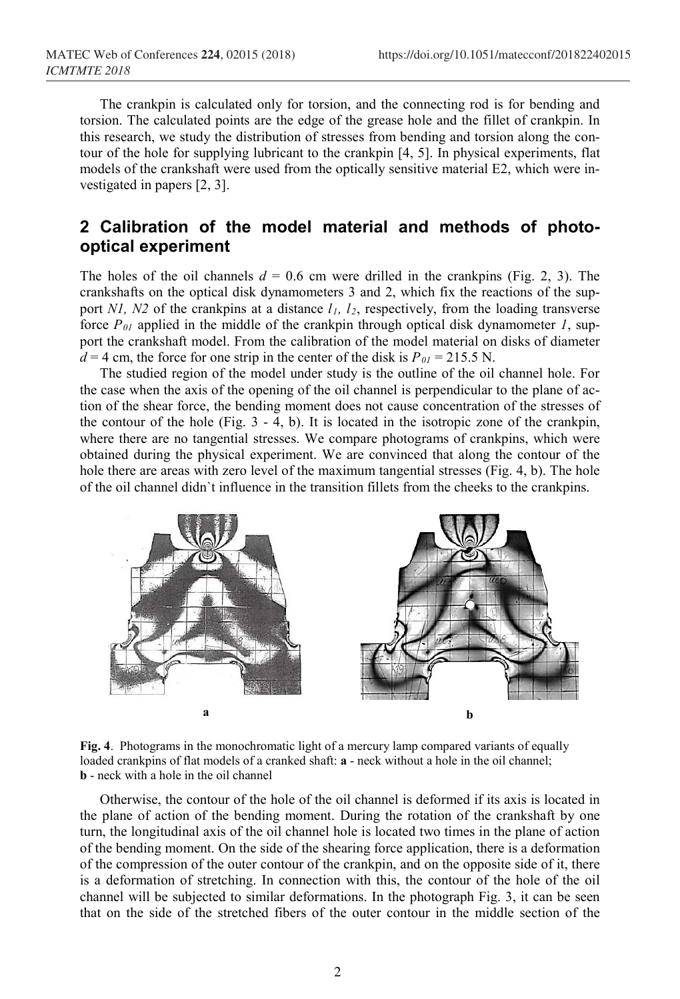The crankpin is calculated only for torsion, and the connecting rod is for bending and torsion. The calculated points are the edge of the grease hole and the fillet of crankpin. In this research, we study the distribution of stresses from bending and torsion along the contour of the hole for supplying lubricant to the crankpin [4, 5]. In physical experiments, flat models of the crankshaft were used from the optically sensitive material E2, which were investigated in papers [2, 3].

## **2 Calibration of the model material and methods of photooptical experiment**

The holes of the oil channels  $d = 0.6$  cm were drilled in the crankpins (Fig. 2, 3). The crankshafts on the optical disk dynamometers 3 and 2, which fix the reactions of the support *N1, N2* of the crankpins at a distance  $l_1$ ,  $l_2$ , respectively, from the loading transverse force  $P_{01}$  applied in the middle of the crankpin through optical disk dynamometer *1*, support the crankshaft model. From the calibration of the model material on disks of diameter  $d = 4$  cm, the force for one strip in the center of the disk is  $P_{01} = 215.5$  N.

The studied region of the model under study is the outline of the oil channel hole. For the case when the axis of the opening of the oil channel is perpendicular to the plane of action of the shear force, the bending moment does not cause concentration of the stresses of the contour of the hole (Fig.  $3 - 4$ , b). It is located in the isotropic zone of the crankpin, where there are no tangential stresses. We compare photograms of crankpins, which were obtained during the physical experiment. We are convinced that along the contour of the hole there are areas with zero level of the maximum tangential stresses (Fig. 4, b). The hole of the oil channel didn`t influence in the transition fillets from the cheeks to the crankpins.



**Fig. 4**. Photograms in the monochromatic light of a mercury lamp compared variants of equally loaded crankpins of flat models of a cranked shaft: **a** - neck without a hole in the oil channel; **b** - neck with a hole in the oil channel

Otherwise, the contour of the hole of the oil channel is deformed if its axis is located in the plane of action of the bending moment. During the rotation of the crankshaft by one turn, the longitudinal axis of the oil channel hole is located two times in the plane of action of the bending moment. On the side of the shearing force application, there is a deformation of the compression of the outer contour of the crankpin, and on the opposite side of it, there is a deformation of stretching. In connection with this, the contour of the hole of the oil channel will be subjected to similar deformations. In the photograph Fig. 3, it can be seen that on the side of the stretched fibers of the outer contour in the middle section of the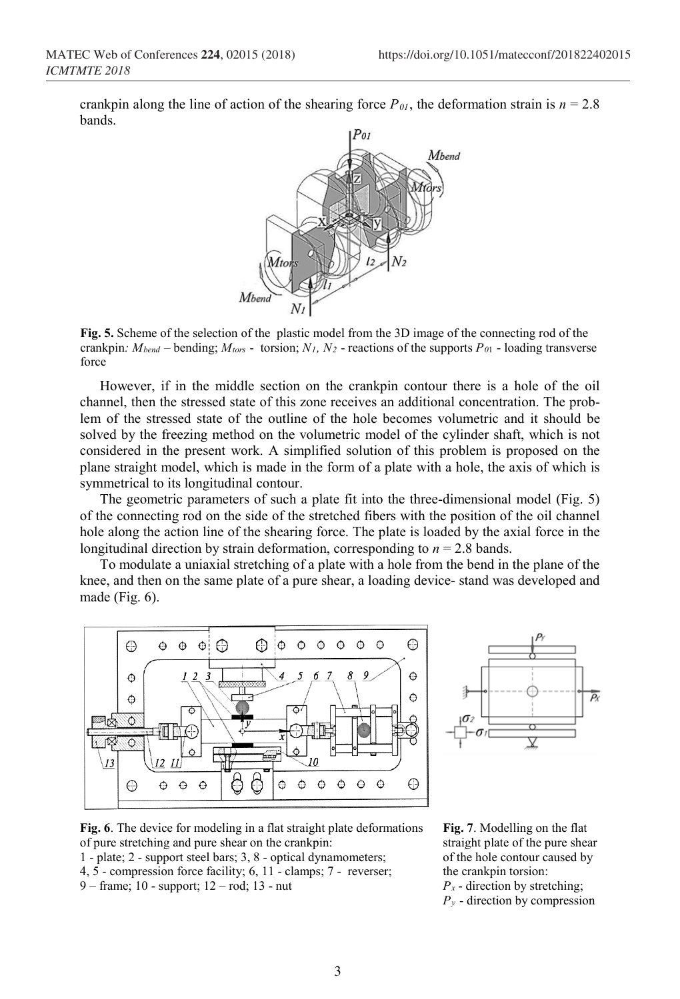crankpin along the line of action of the shearing force  $P_{01}$ , the deformation strain is  $n = 2.8$ bands.



**Fig. 5.** Scheme of the selection of the plastic model from the 3D image of the connecting rod of the crankpin:  $M_{bend}$  – bending;  $M_{tors}$  - torsion;  $N_1$ ,  $N_2$  - reactions of the supports  $P_{01}$  - loading transverse force

However, if in the middle section on the crankpin contour there is a hole of the oil channel, then the stressed state of this zone receives an additional concentration. The problem of the stressed state of the outline of the hole becomes volumetric and it should be solved by the freezing method on the volumetric model of the cylinder shaft, which is not considered in the present work. A simplified solution of this problem is proposed on the plane straight model, which is made in the form of a plate with a hole, the axis of which is symmetrical to its longitudinal contour.

The geometric parameters of such a plate fit into the three-dimensional model (Fig. 5) of the connecting rod on the side of the stretched fibers with the position of the oil channel hole along the action line of the shearing force. The plate is loaded by the axial force in the longitudinal direction by strain deformation, corresponding to  $n = 2.8$  bands.

To modulate a uniaxial stretching of a plate with a hole from the bend in the plane of the knee, and then on the same plate of a pure shear, a loading device- stand was developed and made (Fig. 6).





**Fig. 6**. The device for modeling in a flat straight plate deformations of pure stretching and pure shear on the crankpin:

1 - plate; 2 - support steel bars; 3, 8 - optical dynamometers; 4, 5 - compression force facility; 6, 11 - clamps; 7 - reverser; 9 – frame; 10 - support; 12 – rod; 13 - nut

**Fig. 7**. Modelling on the flat straight plate of the pure shear of the hole contour caused by the crankpin torsion: *Px* - direction by stretching; *Py* - direction by compression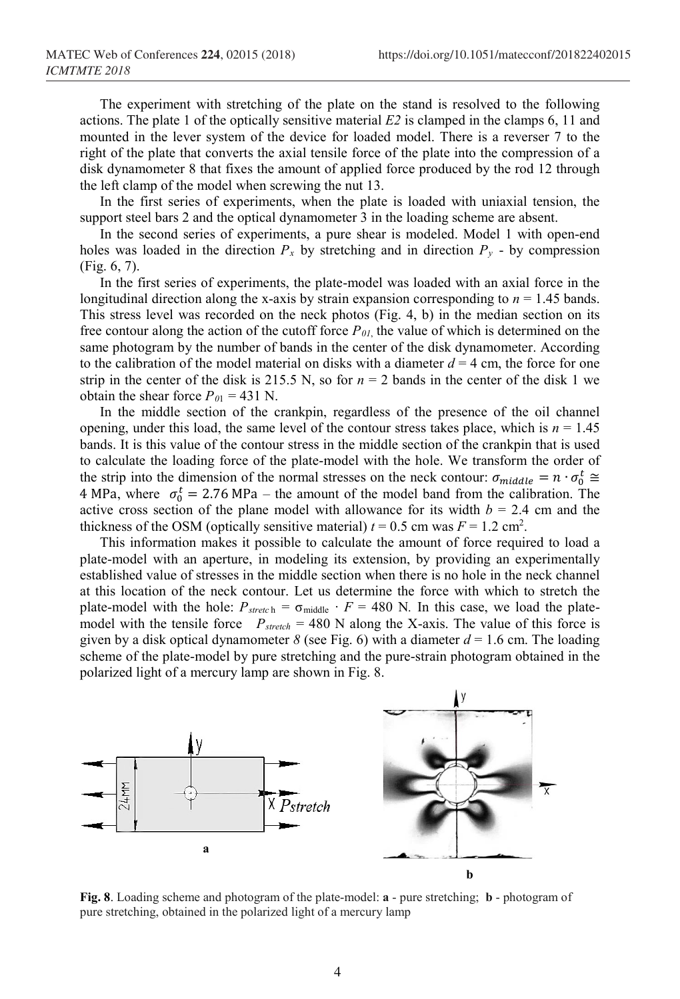The experiment with stretching of the plate on the stand is resolved to the following actions. The plate 1 of the optically sensitive material  $E2$  is clamped in the clamps 6, 11 and mounted in the lever system of the device for loaded model. There is a reverser 7 to the right of the plate that converts the axial tensile force of the plate into the compression of a disk dynamometer 8 that fixes the amount of applied force produced by the rod 12 through the left clamp of the model when screwing the nut 13.

In the first series of experiments, when the plate is loaded with uniaxial tension, the support steel bars 2 and the optical dynamometer 3 in the loading scheme are absent.

In the second series of experiments, a pure shear is modeled. Model 1 with open-end holes was loaded in the direction  $P_x$  by stretching and in direction  $P_y$  - by compression (Fig. 6, 7).

In the first series of experiments, the plate-model was loaded with an axial force in the longitudinal direction along the x-axis by strain expansion corresponding to *n* = 1.45 bands. This stress level was recorded on the neck photos (Fig. 4, b) in the median section on its free contour along the action of the cutoff force  $P_{0I}$ , the value of which is determined on the same photogram by the number of bands in the center of the disk dynamometer. According to the calibration of the model material on disks with a diameter  $d = 4$  cm, the force for one strip in the center of the disk is 215.5 N, so for  $n = 2$  bands in the center of the disk 1 we obtain the shear force  $P_{01} = 431$  N.

In the middle section of the crankpin, regardless of the presence of the oil channel opening, under this load, the same level of the contour stress takes place, which is  $n = 1.45$ bands. It is this value of the contour stress in the middle section of the crankpin that is used to calculate the loading force of the plate-model with the hole. We transform the order of the strip into the dimension of the normal stresses on the neck contour:  $\sigma_{middle} = n \cdot \sigma_0^t \approx$ 4 MPa, where  $\sigma_0^t = 2.76 \text{ MPa}$  – the amount of the model band from the calibration. The active cross section of the plane model with allowance for its width  $b = 2.4$  cm and the thickness of the OSM (optically sensitive material)  $t = 0.5$  cm was  $F = 1.2$  cm<sup>2</sup>.

This information makes it possible to calculate the amount of force required to load a plate-model with an aperture, in modeling its extension, by providing an experimentally established value of stresses in the middle section when there is no hole in the neck channel at this location of the neck contour. Let us determine the force with which to stretch the plate-model with the hole:  $P_{\text{sreet}}$  h =  $\sigma_{\text{middle}} \cdot F = 480$  N. In this case, we load the platemodel with the tensile force  $P_{\text{stretch}} = 480$  N along the X-axis. The value of this force is given by a disk optical dynamometer *8* (see Fig. 6) with a diameter  $d = 1.6$  cm. The loading scheme of the plate-model by pure stretching and the pure-strain photogram obtained in the polarized light of a mercury lamp are shown in Fig. 8.



**Fig. 8**. Loading scheme and photogram of the plate-model: **a** - pure stretching; **b** - photogram of pure stretching, obtained in the polarized light of a mercury lamp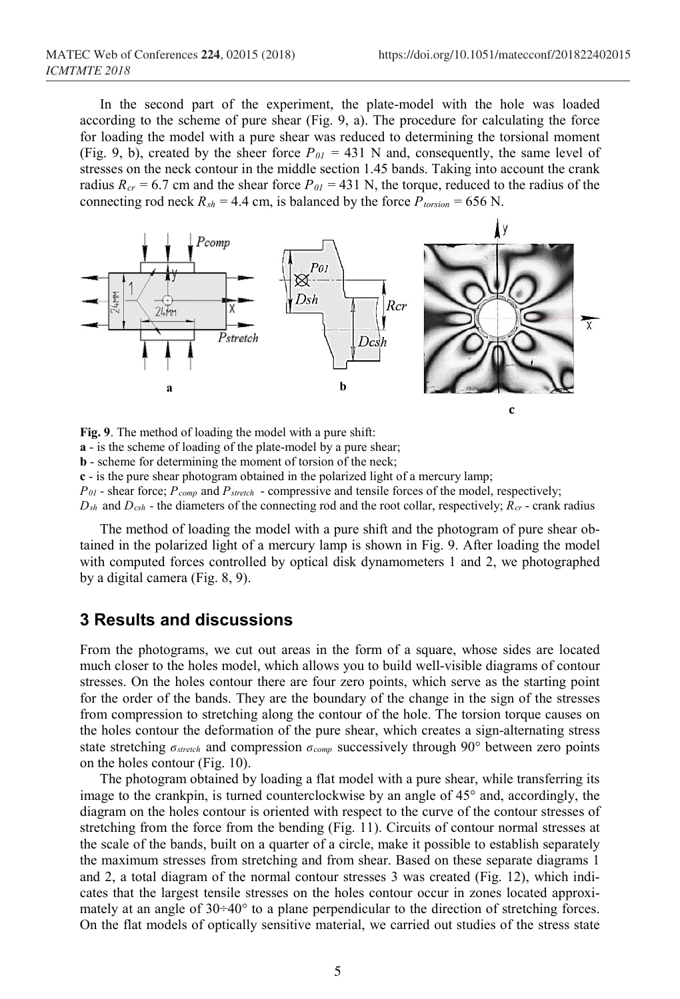In the second part of the experiment, the plate-model with the hole was loaded according to the scheme of pure shear (Fig. 9, a). The procedure for calculating the force for loading the model with a pure shear was reduced to determining the torsional moment (Fig. 9, b), created by the sheer force  $P_{0I} = 431$  N and, consequently, the same level of stresses on the neck contour in the middle section 1.45 bands. Taking into account the crank radius  $R_{cr} = 6.7$  cm and the shear force  $P_{0I} = 431$  N, the torque, reduced to the radius of the connecting rod neck  $R_{sh} = 4.4$  cm, is balanced by the force  $P_{torsion} = 656$  N.



**Fig. 9**. The method of loading the model with a pure shift: **a** - is the scheme of loading of the plate-model by a pure shear; **b** - scheme for determining the moment of torsion of the neck; **c** - is the pure shear photogram obtained in the polarized light of a mercury lamp; *P01 -* shear force; *Pcomp* and *Pstretch* - compressive and tensile forces of the model, respectively;  $D_{sh}$  and  $D_{csh}$  - the diameters of the connecting rod and the root collar, respectively;  $R_{cr}$  - crank radius

The method of loading the model with a pure shift and the photogram of pure shear obtained in the polarized light of a mercury lamp is shown in Fig. 9. After loading the model with computed forces controlled by optical disk dynamometers 1 and 2, we photographed by a digital camera (Fig. 8, 9).

#### **3 Results and discussions**

From the photograms, we cut out areas in the form of a square, whose sides are located much closer to the holes model, which allows you to build well-visible diagrams of contour stresses. On the holes contour there are four zero points, which serve as the starting point for the order of the bands. They are the boundary of the change in the sign of the stresses from compression to stretching along the contour of the hole. The torsion torque causes on the holes contour the deformation of the pure shear, which creates a sign-alternating stress state stretching *ϭstretch* and compression *ϭcomp* successively through 90° between zero points on the holes contour (Fig. 10).

The photogram obtained by loading a flat model with a pure shear, while transferring its image to the crankpin, is turned counterclockwise by an angle of 45° and, accordingly, the diagram on the holes contour is oriented with respect to the curve of the contour stresses of stretching from the force from the bending (Fig. 11). Circuits of contour normal stresses at the scale of the bands, built on a quarter of a circle, make it possible to establish separately the maximum stresses from stretching and from shear. Based on these separate diagrams 1 and 2, a total diagram of the normal contour stresses 3 was created (Fig. 12), which indicates that the largest tensile stresses on the holes contour occur in zones located approximately at an angle of 30÷40° to a plane perpendicular to the direction of stretching forces. On the flat models of optically sensitive material, we carried out studies of the stress state